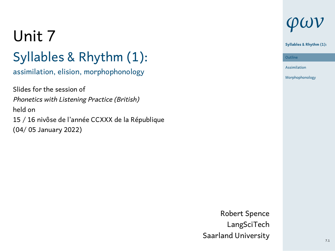# Unit 7 Syllables & Rhythm (1):

#### assimilation, elision, morphophonology

Slides for the session of *Phonetics with Listening Practice (British)* held on 15 / 16 nivôse de l'année CCXXX de la République (04/ 05 January 2022)

# *φων*

# **Syllables & Rhythm (1):**

Outline<br>|<br>Assimilation Outline Morphophonology

Robert Spence LangSciTech Saarland University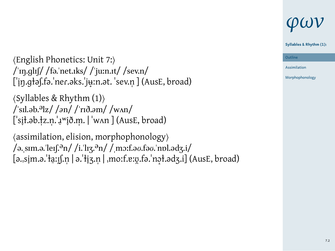# *φων*

**Syllables & Rhythm (1):**

⟨English Phonetics: Unit 7:⟩ /ˈɪŋ.ɡlɪʃ/ /fə.ˈnet.ɪks/ / juːn.ɪt/ /sev.n/ ['in.głəf.fə.'ner.əks.'juin.ət. 'sev.n ] (AusE, broad)

⟨Syllables & Rhythm (1)⟩ /ˈsɪl.əb.əlz/ /*ə*n/ /ˈrɪð.*ə*m/ /wʌn/ [ˈsiɫ.əb.ɫ ̞ z.n̩ ̩.ˈɹʷi ̠ ð.m̞ ̩. | ˈwʌn ] (AusE, broad)

⟨assimilation, elision, morphophonology⟩ /ə.ˌsɪm.ə.ˈleɪʃ.ən/ /i.ˈlɪʒ.ən/ /ˌmɔːf.ə*ʊ*.fə*ʊ*.ˈnɒl.ədʒ.i/ [ə.ˌsim.ə.ˈɫa ̞ ːɪ̠ ʃ.n̯ ̩ | ə.ˈɫiʒ.n̞ ̩ | ˌmoːf.ɐːʊ.fə.ˈnɔ ̯ ɫ.ədʒ.i] (AusE, broad) ̝

ne Outline Assimilation

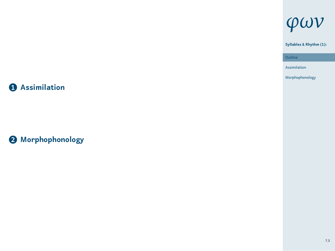# **1 Assimilation**

**2 Morphophonology**



**Syllables & Rhythm (1):**

Outline<br>
– Assimilation Morphophonology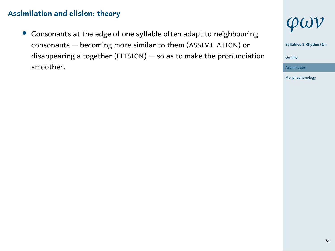*•* Consonants at the edge of one syllable often adapt to neighbouring consonants — becoming more similar to them (ASSIMILATION) or disappearing altogether (ELISION) — so as to make the pronunciation smoother.



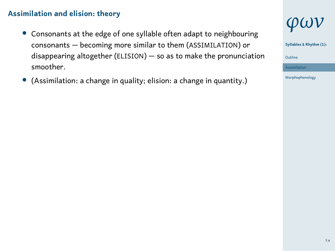- *•* Consonants at the edge of one syllable often adapt to neighbouring consonants — becoming more similar to them (ASSIMILATION) or disappearing altogether (ELISION) — so as to make the pronunciation smoother.
- *•* (Assimilation: a change in quality; elision: a change in quantity.)



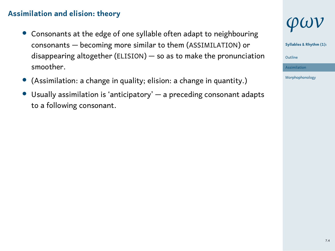- *•* Consonants at the edge of one syllable often adapt to neighbouring consonants — becoming more similar to them (ASSIMILATION) or disappearing altogether (ELISION) — so as to make the pronunciation smoother.
- *•* (Assimilation: a change in quality; elision: a change in quantity.)
- *•* Usually assimilation is 'anticipatory' a preceding consonant adapts to a following consonant.



**Syllables & Rhythm (1):**



Morphophonology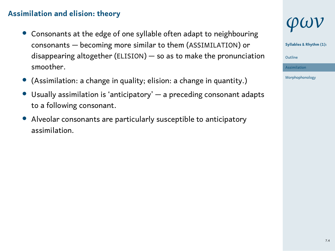- *•* Consonants at the edge of one syllable often adapt to neighbouring consonants — becoming more similar to them (ASSIMILATION) or disappearing altogether (ELISION) — so as to make the pronunciation smoother.
- *•* (Assimilation: a change in quality; elision: a change in quantity.)
- *•* Usually assimilation is 'anticipatory' a preceding consonant adapts to a following consonant.
- *•* Alveolar consonants are particularly susceptible to anticipatory assimilation.

# *φων*

**Syllables & Rhythm (1):**

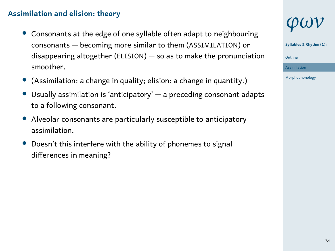- *•* Consonants at the edge of one syllable often adapt to neighbouring consonants — becoming more similar to them (ASSIMILATION) or disappearing altogether (ELISION) — so as to make the pronunciation smoother.
- *•* (Assimilation: a change in quality; elision: a change in quantity.)
- *•* Usually assimilation is 'anticipatory' a preceding consonant adapts to a following consonant.
- *•* Alveolar consonants are particularly susceptible to anticipatory assimilation.
- *•* Doesn't this interfere with the ability of phonemes to signal differences in meaning?

# *φων*

**Syllables & Rhythm (1):**



Morphophonology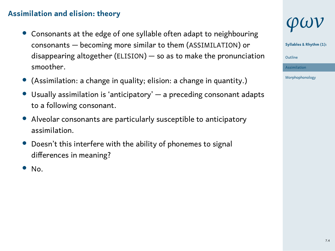- *•* Consonants at the edge of one syllable often adapt to neighbouring consonants — becoming more similar to them (ASSIMILATION) or disappearing altogether (ELISION) — so as to make the pronunciation smoother.
- *•* (Assimilation: a change in quality; elision: a change in quantity.)
- *•* Usually assimilation is 'anticipatory' a preceding consonant adapts to a following consonant.
- *•* Alveolar consonants are particularly susceptible to anticipatory assimilation.
- *•* Doesn't this interfere with the ability of phonemes to signal differences in meaning?
- *•* No.



**Syllables & Rhythm (1):**

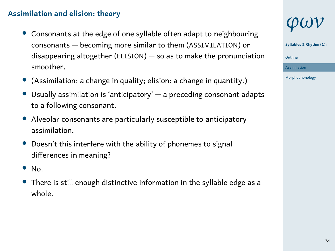- *•* Consonants at the edge of one syllable often adapt to neighbouring consonants — becoming more similar to them (ASSIMILATION) or disappearing altogether (ELISION) — so as to make the pronunciation smoother.
- *•* (Assimilation: a change in quality; elision: a change in quantity.)
- *•* Usually assimilation is 'anticipatory' a preceding consonant adapts to a following consonant.
- *•* Alveolar consonants are particularly susceptible to anticipatory assimilation.
- *•* Doesn't this interfere with the ability of phonemes to signal differences in meaning?
- *•* No.
- *•* There is still enough distinctive information in the syllable edge as a whole.

# *φων*

**Syllables & Rhythm (1):**



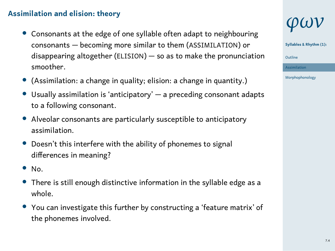- *•* Consonants at the edge of one syllable often adapt to neighbouring consonants — becoming more similar to them (ASSIMILATION) or disappearing altogether (ELISION) — so as to make the pronunciation smoother.
- *•* (Assimilation: a change in quality; elision: a change in quantity.)
- *•* Usually assimilation is 'anticipatory' a preceding consonant adapts to a following consonant.
- *•* Alveolar consonants are particularly susceptible to anticipatory assimilation.
- *•* Doesn't this interfere with the ability of phonemes to signal differences in meaning?
- *•* No.
- *•* There is still enough distinctive information in the syllable edge as a whole.
- *•* You can investigate this further by constructing a 'feature matrix' of the phonemes involved.

# *φων*

**Syllables & Rhythm (1):**



Morphophonology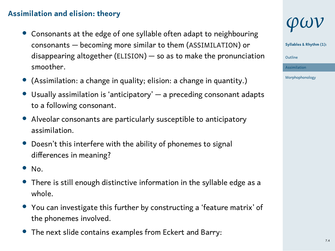- *•* Consonants at the edge of one syllable often adapt to neighbouring consonants — becoming more similar to them (ASSIMILATION) or disappearing altogether (ELISION) — so as to make the pronunciation smoother.
- *•* (Assimilation: a change in quality; elision: a change in quantity.)
- *•* Usually assimilation is 'anticipatory' a preceding consonant adapts to a following consonant.
- *•* Alveolar consonants are particularly susceptible to anticipatory assimilation.
- *•* Doesn't this interfere with the ability of phonemes to signal differences in meaning?
- *•* No.
- *•* There is still enough distinctive information in the syllable edge as a whole.
- *•* You can investigate this further by constructing a 'feature matrix' of the phonemes involved.
- *•* The next slide contains examples from Eckert and Barry:

# *φων*

**Syllables & Rhythm (1):**



Morphophonology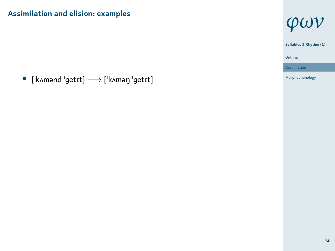*•* [ˈkʌmənd ˈɡetɪt] *−→* [ˈkʌməŋ ˈɡetɪt]

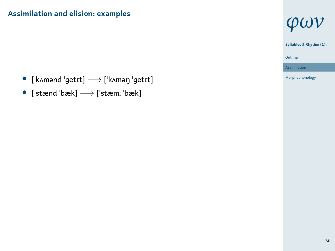- *•* [ˈkʌmənd ˈɡetɪt] *−→* [ˈkʌməŋ ˈɡetɪt]
- *•* [ˈstænd ˈbæk] *−→* [ˈstæmː ˈbæk]



Morphophonology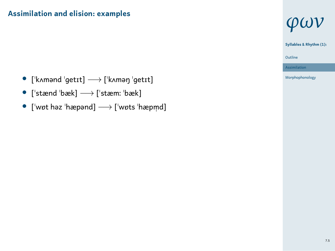- *•* [ˈkʌmənd ˈɡetɪt] *−→* [ˈkʌməŋ ˈɡetɪt]
- *•* [ˈstænd ˈbæk] *−→* [ˈstæmː ˈbæk]
- *•* [ˈwɒt həz ˈhæpənd] *−→* [ˈwɒts ˈhæpm̩ d]



Assimilation Morphophonology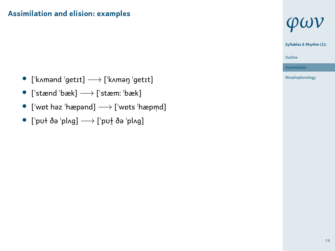- *•* [ˈkʌmənd ˈɡetɪt] *−→* [ˈkʌməŋ ˈɡetɪt]
- *•* [ˈstænd ˈbæk] *−→* [ˈstæmː ˈbæk]
- *•* [ˈwɒt həz ˈhæpənd] *−→* [ˈwɒts ˈhæpm̩ d]
- *•* [ˈpʊɫ ðə ˈplʌɡ] *−→* [ˈpʊɫ̪ ðə ˈplʌɡ]



1 Outline

Assimilation Morphophonology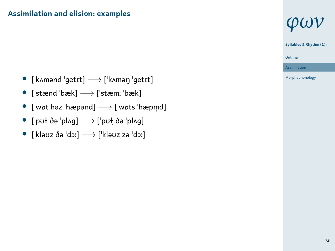- *•* [ˈkʌmənd ˈɡetɪt] *−→* [ˈkʌməŋ ˈɡetɪt]
- *•* [ˈstænd ˈbæk] *−→* [ˈstæmː ˈbæk]
- *•* [ˈwɒt həz ˈhæpənd] *−→* [ˈwɒts ˈhæpm̩ d]
- *•* [ˈpʊɫ ðə ˈplʌɡ] *−→* [ˈpʊɫ̪ ðə ˈplʌɡ]
- *•* [ˈkləʊz ðə ˈdɔː] *−→* [ˈkləʊz zə ˈdɔː]



Assimilation Morphophonology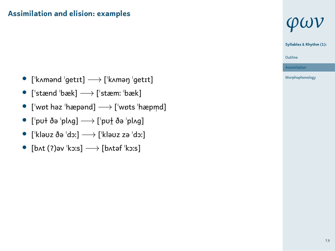- *•* [ˈkʌmənd ˈɡetɪt] *−→* [ˈkʌməŋ ˈɡetɪt]
- *•* [ˈstænd ˈbæk] *−→* [ˈstæmː ˈbæk]
- *•* [ˈwɒt həz ˈhæpənd] *−→* [ˈwɒts ˈhæpm̩ d]
- *•* [ˈpʊɫ ðə ˈplʌɡ] *−→* [ˈpʊɫ̪ ðə ˈplʌɡ]
- *•* [ˈkləʊz ðə ˈdɔː] *−→* [ˈkləʊz zə ˈdɔː]
- *•* [bʌt (ʔ)əv ˈkɔːs] *−→* [bʌtəf ˈkɔːs]



Assimilation Morphophonology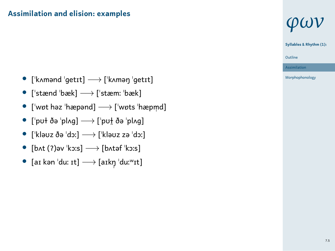- *•* [ˈkʌmənd ˈɡetɪt] *−→* [ˈkʌməŋ ˈɡetɪt]
- *•* [ˈstænd ˈbæk] *−→* [ˈstæmː ˈbæk]
- *•* [ˈwɒt həz ˈhæpənd] *−→* [ˈwɒts ˈhæpm̩ d]
- *•* [ˈpʊɫ ðə ˈplʌɡ] *−→* [ˈpʊɫ̪ ðə ˈplʌɡ]
- *•* [ˈkləʊz ðə ˈdɔː] *−→* [ˈkləʊz zə ˈdɔː]
- *•* [bʌt (ʔ)əv ˈkɔːs] *−→* [bʌtəf ˈkɔːs]
- *•* [aɪ kən ˈduː ɪt] *−→* [aɪkŋ̩ ˈduːʷɪt]



**Syllables & Rhythm (1):**

Assimilation Morphophonology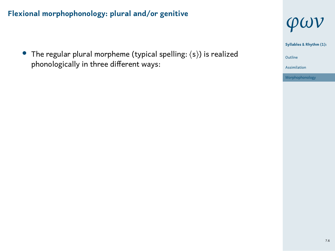*•* The regular plural morpheme (typical spelling: ⟨s⟩) is realized phonologically in three different ways:



1 Outline Assimilation Morphophonology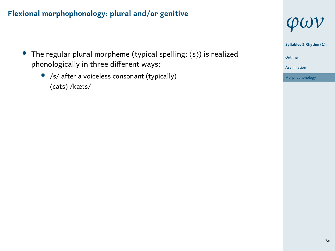- *•* The regular plural morpheme (typical spelling: ⟨s⟩) is realized phonologically in three different ways:
	- *•* /s/ after a voiceless consonant (typically) ⟨cats⟩ /kæts/



1 Outline **Syllables & Rhythm (1):**

Assimilation Morphophonology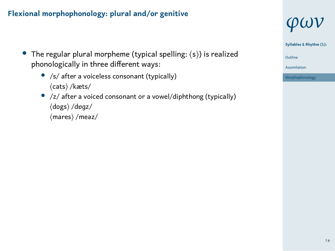- *•* The regular plural morpheme (typical spelling: ⟨s⟩) is realized phonologically in three different ways:
	- *•* /s/ after a voiceless consonant (typically) ⟨cats⟩ /kæts/
	- *•* /z/ after a voiced consonant or a vowel/diphthong (typically) ⟨dogs⟩ /dɒɡz/ ⟨mares⟩ /meəz/



**Syllables & Rhythm (1):**

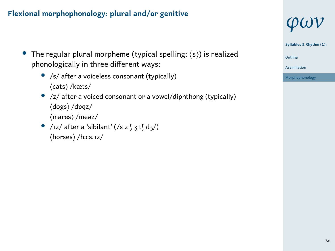- *•* The regular plural morpheme (typical spelling: ⟨s⟩) is realized phonologically in three different ways:
	- *•* /s/ after a voiceless consonant (typically) ⟨cats⟩ /kæts/
	- *•* /z/ after a voiced consonant or a vowel/diphthong (typically) ⟨dogs⟩ /dɒɡz/ ⟨mares⟩ /meəz/
	- *•* /ɪz/ after a 'sibilant' (/s z ʃ ʒ tʃ dʒ/) ⟨horses⟩ /hɔːs.ɪz/





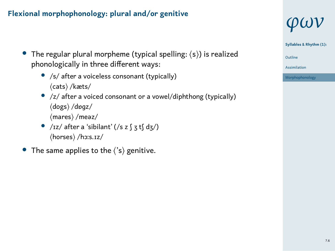- *•* The regular plural morpheme (typical spelling: ⟨s⟩) is realized phonologically in three different ways:
	- *•* /s/ after a voiceless consonant (typically) ⟨cats⟩ /kæts/
	- *•* /z/ after a voiced consonant or a vowel/diphthong (typically) ⟨dogs⟩ /dɒɡz/ ⟨mares⟩ /meəz/
	- *•* /ɪz/ after a 'sibilant' (/s z ʃ ʒ tʃ dʒ/) ⟨horses⟩ /hɔːs.ɪz/
- *•* The same applies to the ⟨'s⟩ genitive.



**Syllables & Rhythm (1):**

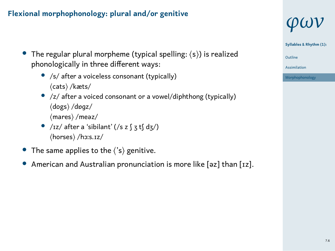- *•* The regular plural morpheme (typical spelling: ⟨s⟩) is realized phonologically in three different ways:
	- *•* /s/ after a voiceless consonant (typically) ⟨cats⟩ /kæts/
	- *•* /z/ after a voiced consonant or a vowel/diphthong (typically) ⟨dogs⟩ /dɒɡz/ ⟨mares⟩ /meəz/
	- *•* /ɪz/ after a 'sibilant' (/s z ʃ ʒ tʃ dʒ/) ⟨horses⟩ /hɔːs.ɪz/
- *•* The same applies to the ⟨'s⟩ genitive.
- *•* American and Australian pronunciation is more like [əz] than [ɪz].





1 Outline Assimilation Morphophonology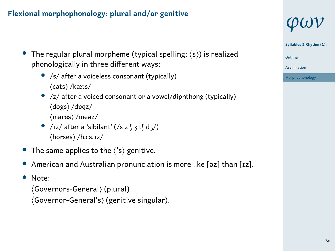- *•* The regular plural morpheme (typical spelling: ⟨s⟩) is realized phonologically in three different ways:
	- *•* /s/ after a voiceless consonant (typically) ⟨cats⟩ /kæts/
	- *•* /z/ after a voiced consonant or a vowel/diphthong (typically) ⟨dogs⟩ /dɒɡz/ ⟨mares⟩ /meəz/
	- *•* /ɪz/ after a 'sibilant' (/s z ʃ ʒ tʃ dʒ/) ⟨horses⟩ /hɔːs.ɪz/
- *•* The same applies to the ⟨'s⟩ genitive.
- *•* American and Australian pronunciation is more like [əz] than [ɪz].
- *•* Note:
	- ⟨Governors-General⟩ (plural) ⟨Governor-General's⟩ (genitive singular).





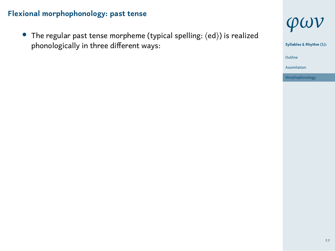*•* The regular past tense morpheme (typical spelling: ⟨ed⟩) is realized phonologically in three different ways:

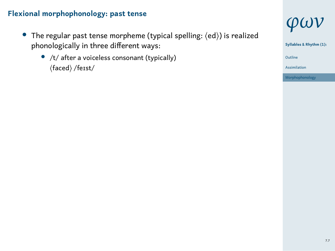- *•* The regular past tense morpheme (typical spelling: ⟨ed⟩) is realized phonologically in three different ways:
	- *•* /t/ after a voiceless consonant (typically) ⟨faced⟩ /feɪst/



Morphophonology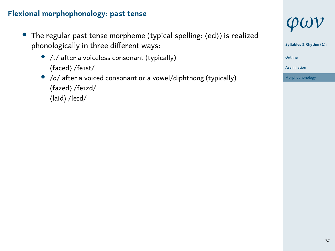- *•* The regular past tense morpheme (typical spelling: ⟨ed⟩) is realized phonologically in three different ways:
	- *•* /t/ after a voiceless consonant (typically) ⟨faced⟩ /feɪst/
	- *•* /d/ after a voiced consonant or a vowel/diphthong (typically) ⟨fazed⟩ /feɪzd/  $\langle$ laid $\rangle$ /leɪd/





Morphophonology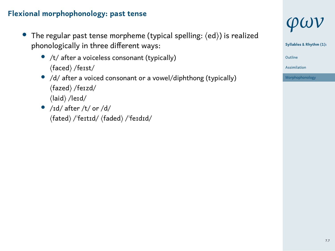- *•* The regular past tense morpheme (typical spelling: ⟨ed⟩) is realized phonologically in three different ways:
	- *•* /t/ after a voiceless consonant (typically) ⟨faced⟩ /feɪst/
	- *•* /d/ after a voiced consonant or a vowel/diphthong (typically) ⟨fazed⟩ /feɪzd/ ⟨laid⟩ /leɪd/
	- *•* /ɪd/ after /t/ or /d/ ⟨fated⟩ /ˈfeɪtɪd/ ⟨faded⟩ /ˈfeɪdɪd/



1 Outline

Assimilation Morphophonology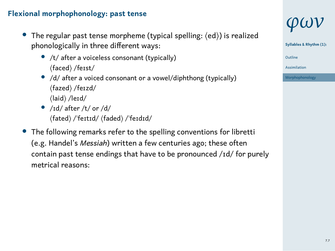- *•* The regular past tense morpheme (typical spelling: ⟨ed⟩) is realized phonologically in three different ways:
	- *•* /t/ after a voiceless consonant (typically) ⟨faced⟩ /feɪst/
	- *•* /d/ after a voiced consonant or a vowel/diphthong (typically) ⟨fazed⟩ /feɪzd/ ⟨laid⟩ /leɪd/
	- *•* /ɪd/ after /t/ or /d/ ⟨fated⟩ /ˈfeɪtɪd/ ⟨faded⟩ /ˈfeɪdɪd/
- *•* The following remarks refer to the spelling conventions for libretti (e.g. Handel's *Messiah*) written a few centuries ago; these often contain past tense endings that have to be pronounced /ɪd/ for purely metrical reasons:





1 Outline Assimilation Morphophonology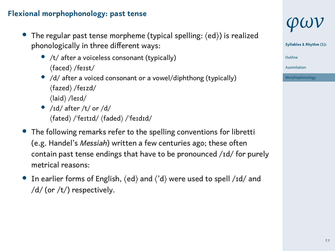- *•* The regular past tense morpheme (typical spelling: ⟨ed⟩) is realized phonologically in three different ways:
	- *•* /t/ after a voiceless consonant (typically) ⟨faced⟩ /feɪst/
	- /d/ after a voiced consonant or a vowel/diphthong (typically) ⟨fazed⟩ /feɪzd/ ⟨laid⟩ /leɪd/
	- *•* /ɪd/ after /t/ or /d/ ⟨fated⟩ /ˈfeɪtɪd/ ⟨faded⟩ /ˈfeɪdɪd/
- *•* The following remarks refer to the spelling conventions for libretti (e.g. Handel's *Messiah*) written a few centuries ago; these often contain past tense endings that have to be pronounced /ɪd/ for purely metrical reasons:
- *•* In earlier forms of English, ⟨ed⟩ and ⟨'d⟩ were used to spell /ɪd/ and /d/ (or /t/) respectively.





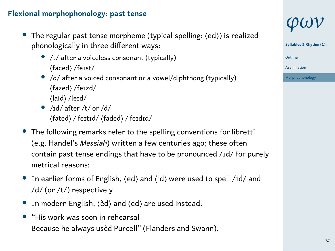- *•* The regular past tense morpheme (typical spelling: ⟨ed⟩) is realized phonologically in three different ways:
	- *•* /t/ after a voiceless consonant (typically) ⟨faced⟩ /feɪst/
	- *•* /d/ after a voiced consonant or a vowel/diphthong (typically) ⟨fazed⟩ /feɪzd/ ⟨laid⟩ /leɪd/
	- *•* /ɪd/ after /t/ or /d/ ⟨fated⟩ /ˈfeɪtɪd/ ⟨faded⟩ /ˈfeɪdɪd/
- *•* The following remarks refer to the spelling conventions for libretti (e.g. Handel's *Messiah*) written a few centuries ago; these often contain past tense endings that have to be pronounced /ɪd/ for purely metrical reasons:
- *•* In earlier forms of English, ⟨ed⟩ and ⟨'d⟩ were used to spell /ɪd/ and /d/ (or /t/) respectively.
- *•* In modern English, ⟨èd⟩ and ⟨ed⟩ are used instead.
- *•* "His work was soon in rehearsal Because he always usèd Purcell" (Flanders and Swann).



**Syllables & Rhythm (1):**

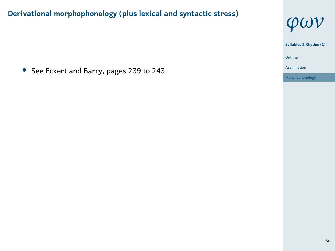*•* See Eckert and Barry, pages 239 to 243.

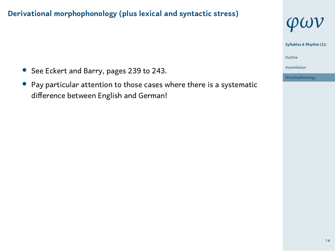- *•* See Eckert and Barry, pages 239 to 243.
- *•* Pay particular attention to those cases where there is a systematic difference between English and German!



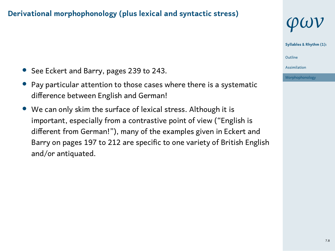

1 Outline

Assimilation Morphophonology

- *•* See Eckert and Barry, pages 239 to 243.
- *•* Pay particular attention to those cases where there is a systematic difference between English and German!
- *•* We can only skim the surface of lexical stress. Although it is important, especially from a contrastive point of view ("English is different from German!"), many of the examples given in Eckert and Barry on pages 197 to 212 are specific to one variety of British English and/or antiquated.